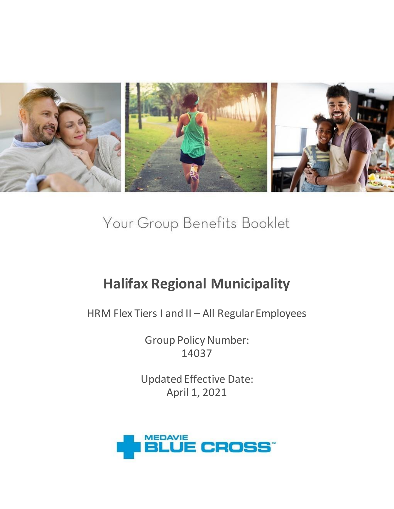

Your Group Benefits Booklet

# **Halifax Regional Municipality**

HRM Flex Tiers I and II – All Regular Employees

Group Policy Number: 14037

Updated Effective Date: April 1, 2021

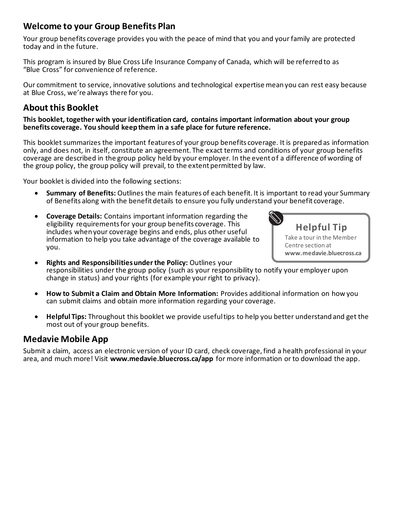### **Welcome to your Group Benefits Plan**

Your group benefits coverage provides you with the peace of mind that you and your family are protected today and in the future.

This program is insured by Blue Cross Life Insurance Company of Canada, which will be referred to as "Blue Cross" for convenience of reference.

Our commitment to service, innovative solutions and technological expertise mean you can rest easy because at Blue Cross, we're always there for you.

### **About this Booklet**

#### **This booklet, together with your identification card, contains important information about your group benefits coverage. You should keep them in a safe place for future reference.**

This booklet summarizes the important features of your group benefits coverage. It is prepared as information only, and does not, in itself, constitute an agreement. The exact terms and conditions of your group benefits coverage are described in the group policy held by your employer. In the event of a difference of wording of the group policy, the group policy will prevail, to the extent permitted by law.

Your booklet is divided into the following sections:

- **Summary of Benefits:** Outlines the main features of each benefit. It is important to read your Summary of Benefits along with the benefit details to ensure you fully understand your benefit coverage.
- **Coverage Details:** Contains important information regarding the eligibility requirements for your group benefits coverage. This includes when your coverage begins and ends, plus other useful information to help you take advantage of the coverage available to you.



- **Rights and Responsibilities under the Policy:** Outlines your responsibilities under the group policy (such as your responsibility to notify your employer upon change in status) and your rights (for example your right to privacy).
- **How to Submit a Claim and Obtain More Information:** Provides additional information on how you can submit claims and obtain more information regarding your coverage.
- **Helpful Tips:** Throughout this booklet we provide useful tips to help you better understand and get the most out of your group benefits.

### **Medavie Mobile App**

Submit a claim, access an electronic version of your ID card, check coverage, find a health professional in your area, and much more! Visit **www.medavie.bluecross.ca/app** for more information or to download the app.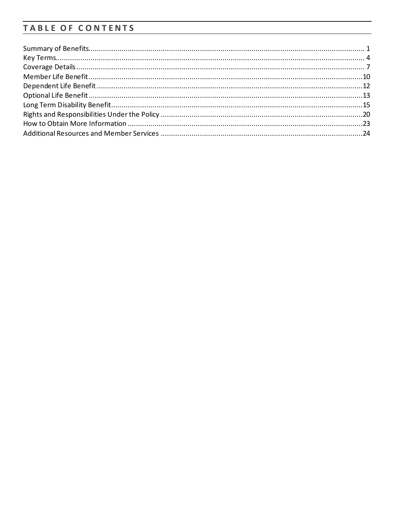### TABLE OF CONTENTS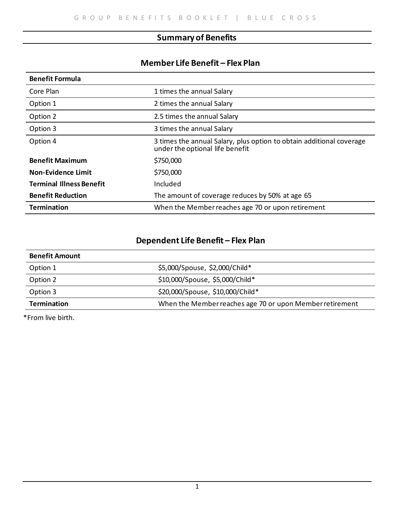### **Summary of Benefits**

### **Member Life Benefit – Flex Plan**

| <b>Benefit Formula</b>          |                                                                                                         |
|---------------------------------|---------------------------------------------------------------------------------------------------------|
| Core Plan                       | 1 times the annual Salary                                                                               |
| Option 1                        | 2 times the annual Salary                                                                               |
| Option 2                        | 2.5 times the annual Salary                                                                             |
| Option 3                        | 3 times the annual Salary                                                                               |
| Option 4                        | 3 times the annual Salary, plus option to obtain additional coverage<br>under the optional life benefit |
| <b>Benefit Maximum</b>          | \$750,000                                                                                               |
| <b>Non-Evidence Limit</b>       | \$750,000                                                                                               |
| <b>Terminal Illness Benefit</b> | Included                                                                                                |
| <b>Benefit Reduction</b>        | The amount of coverage reduces by 50% at age 65                                                         |
| <b>Termination</b>              | When the Member reaches age 70 or upon retirement                                                       |

### **Dependent Life Benefit – Flex Plan**

| <b>Benefit Amount</b> |                                                          |
|-----------------------|----------------------------------------------------------|
| Option 1              | \$5,000/Spouse, \$2,000/Child*                           |
| Option 2              | \$10,000/Spouse, \$5,000/Child*                          |
| Option 3              | \$20,000/Spouse, \$10,000/Child*                         |
| <b>Termination</b>    | When the Member reaches age 70 or upon Member retirement |

\*From live birth.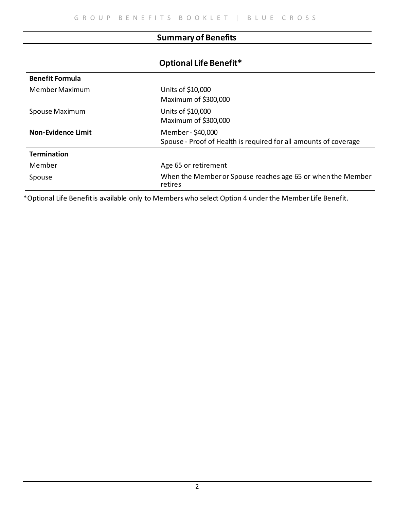### **Summary of Benefits**

### **Optional Life Benefit\***

| <b>Benefit Formula</b> |                                                                        |
|------------------------|------------------------------------------------------------------------|
| Member Maximum         | Units of \$10,000                                                      |
|                        | Maximum of \$300,000                                                   |
| Spouse Maximum         | Units of \$10,000                                                      |
|                        | Maximum of \$300,000                                                   |
| Non-Evidence Limit     | Member - \$40,000                                                      |
|                        | Spouse - Proof of Health is required for all amounts of coverage       |
| <b>Termination</b>     |                                                                        |
| Member                 | Age 65 or retirement                                                   |
| Spouse                 | When the Member or Spouse reaches age 65 or when the Member<br>retires |

\*Optional Life Benefit is available only to Members who select Option 4 under the Member Life Benefit.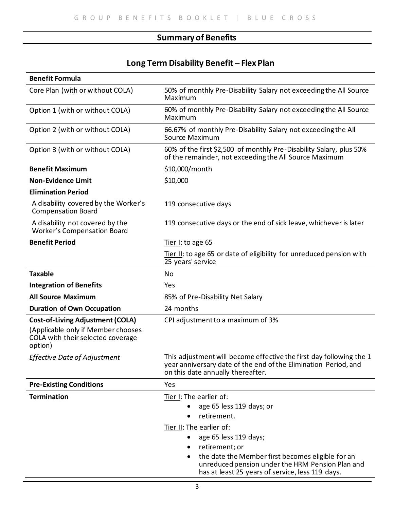### **Summary of Benefits**

### **Long Term Disability Benefit – Flex Plan**

| <b>Benefit Formula</b>                                                                                                        |                                                                                                                                                                                                                          |
|-------------------------------------------------------------------------------------------------------------------------------|--------------------------------------------------------------------------------------------------------------------------------------------------------------------------------------------------------------------------|
| Core Plan (with or without COLA)                                                                                              | 50% of monthly Pre-Disability Salary not exceeding the All Source<br>Maximum                                                                                                                                             |
| Option 1 (with or without COLA)                                                                                               | 60% of monthly Pre-Disability Salary not exceeding the All Source<br>Maximum                                                                                                                                             |
| Option 2 (with or without COLA)                                                                                               | 66.67% of monthly Pre-Disability Salary not exceeding the All<br>Source Maximum                                                                                                                                          |
| Option 3 (with or without COLA)                                                                                               | 60% of the first \$2,500 of monthly Pre-Disability Salary, plus 50%<br>of the remainder, not exceeding the All Source Maximum                                                                                            |
| <b>Benefit Maximum</b>                                                                                                        | \$10,000/month                                                                                                                                                                                                           |
| <b>Non-Evidence Limit</b>                                                                                                     | \$10,000                                                                                                                                                                                                                 |
| <b>Elimination Period</b>                                                                                                     |                                                                                                                                                                                                                          |
| A disability covered by the Worker's<br><b>Compensation Board</b>                                                             | 119 consecutive days                                                                                                                                                                                                     |
| A disability not covered by the<br><b>Worker's Compensation Board</b>                                                         | 119 consecutive days or the end of sick leave, whichever is later                                                                                                                                                        |
| <b>Benefit Period</b>                                                                                                         | Tier I: to age 65                                                                                                                                                                                                        |
|                                                                                                                               | Tier II: to age 65 or date of eligibility for unreduced pension with<br>25 years' service                                                                                                                                |
| <b>Taxable</b>                                                                                                                | No                                                                                                                                                                                                                       |
| <b>Integration of Benefits</b>                                                                                                | Yes                                                                                                                                                                                                                      |
| <b>All Source Maximum</b>                                                                                                     | 85% of Pre-Disability Net Salary                                                                                                                                                                                         |
| <b>Duration of Own Occupation</b>                                                                                             | 24 months                                                                                                                                                                                                                |
| <b>Cost-of-Living Adjustment (COLA)</b><br>(Applicable only if Member chooses<br>COLA with their selected coverage<br>option) | CPI adjustment to a maximum of 3%                                                                                                                                                                                        |
| <b>Effective Date of Adjustment</b>                                                                                           | This adjustment will become effective the first day following the 1<br>year anniversary date of the end of the Elimination Period, and<br>on this date annually thereafter.                                              |
| <b>Pre-Existing Conditions</b>                                                                                                | Yes                                                                                                                                                                                                                      |
| <b>Termination</b>                                                                                                            | Tier I: The earlier of:<br>age 65 less 119 days; or<br>retirement.<br>Tier II: The earlier of:<br>age 65 less 119 days;<br>retirement; or<br>$\bullet$<br>the date the Member first becomes eligible for an<br>$\bullet$ |
|                                                                                                                               | unreduced pension under the HRM Pension Plan and<br>has at least 25 years of service, less 119 days.                                                                                                                     |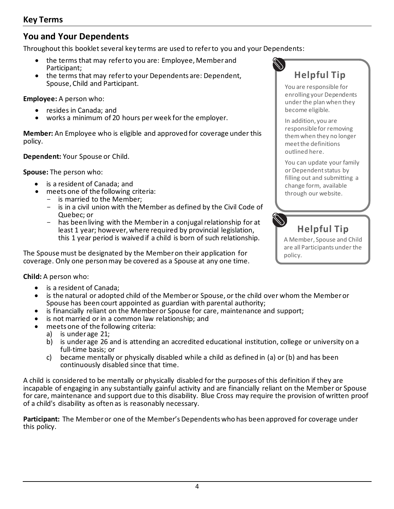### **You and Your Dependents**

Throughout this booklet several key terms are used to refer to you and your Dependents:

- the terms that may refer to you are: Employee, Member and Participant;
- the terms that may refer to your Dependents are: Dependent, Spouse, Child and Participant.

**Employee:** A person who:

- resides in Canada; and
- works a minimum of 20 hours per week for the employer.

**Member:** An Employee who is eligible and approved for coverage under this policy.

**Dependent:** Your Spouse or Child.

**Spouse:** The person who:

- is a resident of Canada; and
- meets one of the following criteria:
	- is married to the Member;
	- is in a civil union with the Member as defined by the Civil Code of Quebec; or
	- has been living with the Member in a conjugal relationship for at least 1 year; however, where required by provincial legislation, this 1 year period is waived if a child is born of such relationship.

The Spouse must be designated by the Member on their application for coverage. Only one person may be covered as a Spouse at any one time.

**Child:** A person who:

- is a resident of Canada;
- is the natural or adopted child of the Member or Spouse, or the child over whom the Member or Spouse has been court appointed as guardian with parental authority;
- is financially reliant on the Member or Spouse for care, maintenance and support;
- is not married or in a common law relationship; and
- meets one of the following criteria:
	-
	- a) is under age 21;<br>b) is under age 26 is under age 26 and is attending an accredited educational institution, college or university on a full-time basis; or
	- c) became mentally or physically disabled while a child as defined in (a) or (b) and has been continuously disabled since that time.

A child is considered to be mentally or physically disabled for the purposes of this definition if they are incapable of engaging in any substantially gainful activity and are financially reliant on the Member or Spouse for care, maintenance and support due to this disability. Blue Cross may require the provision of written proof of a child's disability as often as is reasonably necessary.

**Participant:** The Member or one of the Member's Dependents who has been approved for coverage under this policy.



You are responsible for enrolling your Dependents under the plan when they become eligible.

In addition, you are responsible for removing them when they no longer meet the definitions outlined here.

You can update your family or Dependent status by filling out and submitting a change form, available through our website.

# **Helpful Tip**

A Member, Spouse and Child are all Participants under the policy.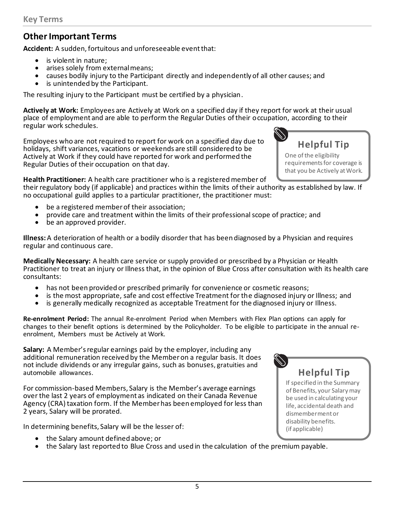### **Other Important Terms**

**Accident:** A sudden, fortuitous and unforeseeable event that:

- is violent in nature;
- arises solely from external means:
- causes bodily injury to the Participant directly and independently of all other causes; and
- is unintended by the Participant.

The resulting injury to the Participant must be certified by a physician.

**Actively at Work:** Employees are Actively at Work on a specified day if they report for work at their usual place of employment and are able to perform the Regular Duties of their occupation, according to their regular work schedules.

Employees who are not required to report for work on a specified day due to holidays, shift variances, vacations or weekends are still considered to be Actively at Work if they could have reported for work and performed the Regular Duties of their occupation on that day.

**Health Practitioner:** A health care practitioner who is a registered member of

their regulatory body (if applicable) and practices within the limits of their authority as established by law. If no occupational guild applies to a particular practitioner, the practitioner must:

- be a registered member of their association;
- provide care and treatment within the limits of their professional scope of practice; and
- be an approved provider.

**Illness:**A deterioration of health or a bodily disorder that has been diagnosed by a Physician and requires regular and continuous care.

**Medically Necessary:** A health care service or supply provided or prescribed by a Physician or Health Practitioner to treat an injury or Illness that, in the opinion of Blue Cross after consultation with its health care consultants:

- has not been provided or prescribed primarily for convenience or cosmetic reasons;
- is the most appropriate, safe and cost effective Treatment for the diagnosed injury or Illness; and
- is generally medically recognized as acceptable Treatment for the diagnosed injury or Illness.

**Re-enrolment Period:** The annual Re-enrolment Period when Members with Flex Plan options can apply for changes to their benefit options is determined by the Policyholder. To be eligible to participate in the annual reenrolment, Members must be Actively at Work.

**Salary:** A Member's regular earnings paid by the employer, including any additional remuneration received by the Member on a regular basis. It does not include dividends or any irregular gains, such as bonuses, gratuities and automobile allowances.

For commission-based Members, Salary is the Member's average earnings over the last 2 years of employment as indicated on their Canada Revenue Agency (CRA) taxation form. If the Member has been employed for less than 2 years, Salary will be prorated.

In determining benefits, Salary will be the lesser of:

- the Salary amount defined above; or
- the Salary last reported to Blue Cross and used in the calculation of the premium payable.

# **Helpful Tip**

If specified in the Summary of Benefits, your Salary may be used in calculating your life, accidental death and dismemberment or disability benefits. (if applicable)

**Helpful Tip** One of the eligibility

requirements for coverage is that you be Actively at Work.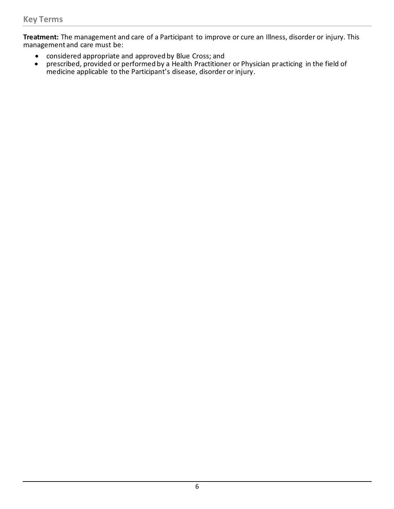**Treatment:** The management and care of a Participant to improve or cure an Illness, disorder or injury. This management and care must be:

- considered appropriate and approved by Blue Cross; and<br>• prescribed, provided or performed by a Health Practitione
- prescribed, provided or performed by a Health Practitioner or Physician practicing in the field of medicine applicable to the Participant's disease, disorder or injury.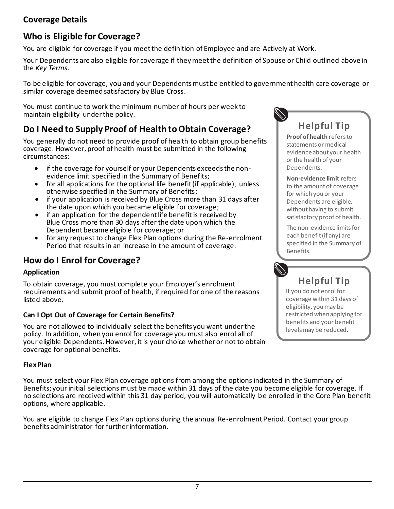### **Who is Eligible for Coverage?**

You are eligible for coverage if you meet the definition of Employee and are Actively at Work.

Your Dependents are also eligible for coverage if they meet the definition of Spouse or Child outlined above in the *Key Terms*.

To be eligible for coverage, you and your Dependents must be entitled to government health care coverage or similar coverage deemed satisfactory by Blue Cross.

You must continue to work the minimum number of hours per week to maintain eligibility under the policy.

### **Do I Need to Supply Proof of Health to Obtain Coverage?**

You generally do not need to provide proof of health to obtain group benefits coverage. However, proof of health must be submitted in the following circumstances:

- if the coverage for yourself or your Dependents exceeds the nonevidence limit specified in the Summary of Benefits;
- for all applications for the optional life benefit (if applicable), unless otherwise specified in the Summary of Benefits;
- if your application is received by Blue Cross more than 31 days after the date upon which you became eligible for coverage;
- if an application for the dependent life benefit is received by Blue Cross more than 30 days after the date upon which the Dependent became eligible for coverage; or
- for any request to change Flex Plan options during the Re-enrolment Period that results in an increase in the amount of coverage.

### **How do I Enrol for Coverage?**

#### **Application**

To obtain coverage, you must complete your Employer's enrolment requirements and submit proof of health, if required for one of the reasons listed above.

#### **Can I Opt Out of Coverage for Certain Benefits?**

You are not allowed to individually select the benefits you want under the policy. In addition, when you enrol for coverage you must also enrol all of your eligible Dependents. However, it is your choice whether or not to obtain coverage for optional benefits.

#### **Flex Plan**

You must select your Flex Plan coverage options from among the options indicated in the Summary of Benefits; your initial selections must be made within 31 days of the date you become eligible for coverage. If no selections are received within this 31 day period, you will automatically be enrolled in the Core Plan benefit options, where applicable.

You are eligible to change Flex Plan options during the annual Re-enrolment Period. Contact your group benefits administrator for further information.

# **Helpful Tip**

**Proof of health** refers to statements or medical evidence about your health or the health of your Dependents.

**Non-evidence limit** refers to the amount of coverage for which you or your Dependents are eligible, without having to submit satisfactory proof of health.

The non-evidence limits for each benefit (if any) are specified in the Summary of Benefits.

# **Helpful Tip**

If you do not enrol for coverage within 31 days of eligibility, you may be restricted when applying for benefits and your benefit levels may be reduced.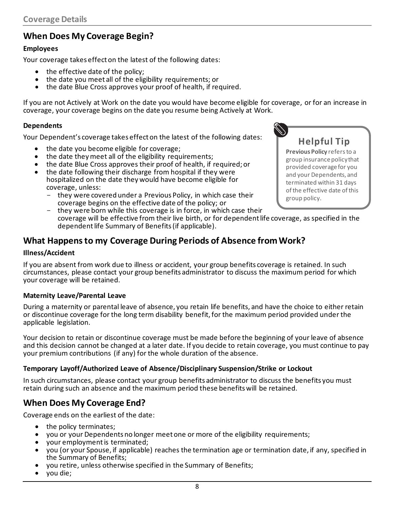### **When Does My Coverage Begin?**

#### **Employees**

Your coverage takes effect on the latest of the following dates:

- the effective date of the policy:
- the date you meet all of the eligibility requirements; or
- the date Blue Cross approves your proof of health, if required.

If you are not Actively at Work on the date you would have become eligible for coverage, or for an increase in coverage, your coverage begins on the date you resume being Actively at Work.

#### **Dependents**

Your Dependent's coverage takes effect on the latest of the following dates:

- the date you become eligible for coverage;
- the date they meet all of the eligibility requirements;
- the date Blue Cross approves their proof of health, if required; or
- the date following their discharge from hospital if they were hospitalized on the date they would have become eligible for coverage, unless:
	- they were covered under a Previous Policy, in which case their coverage begins on the effective date of the policy; or



**Helpful Tip Previous Policy** refers to a group insurance policy that provided coverage for you and your Dependents, and terminated within 31 days of the effective date of this group policy.

they were born while this coverage is in force, in which case their coverage will be effective from their live birth, or for dependent life coverage, as specified in the dependent life Summary of Benefits (if applicable).

### **What Happens to my Coverage During Periods of Absence from Work?**

#### **Illness/Accident**

If you are absent from work due to illness or accident, your group benefits coverage is retained. In such circumstances, please contact your group benefits administrator to discuss the maximum period for which your coverage will be retained.

#### **Maternity Leave/Parental Leave**

During a maternity or parental leave of absence, you retain life benefits, and have the choice to either retain or discontinue coverage for the long term disability benefit, for the maximum period provided under the applicable legislation.

Your decision to retain or discontinue coverage must be made before the beginning of your leave of absence and this decision cannot be changed at a later date. If you decide to retain coverage, you must continue to pay your premium contributions (if any) for the whole duration of the absence.

#### **Temporary Layoff/Authorized Leave of Absence/Disciplinary Suspension/Strike or Lockout**

In such circumstances, please contact your group benefits administrator to discuss the benefits you must retain during such an absence and the maximum period these benefits will be retained.

### **When Does My Coverage End?**

Coverage ends on the earliest of the date:

- the policy terminates;
- you or your Dependents no longer meet one or more of the eligibility requirements;
- your employment is terminated;
- you (or your Spouse, if applicable) reaches the termination age or termination date, if any, specified in the Summary of Benefits;
- you retire, unless otherwise specified in the Summary of Benefits;
- you die;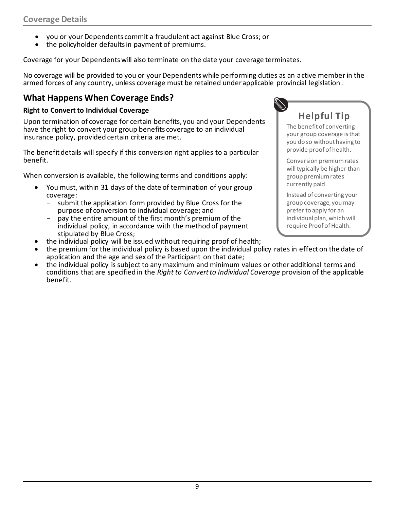- you or your Dependents commit a fraudulent act against Blue Cross; or
- the policyholder defaults in payment of premiums.

Coverage for your Dependents will also terminate on the date your coverage terminates.

No coverage will be provided to you or your Dependents while performing duties as an active member in the armed forces of any country, unless coverage must be retained under applicable provincial legislation.

### **What Happens When Coverage Ends?**

#### **Right to Convert to Individual Coverage**

Upon termination of coverage for certain benefits, you and your Dependents have the right to convert your group benefits coverage to an individual insurance policy, provided certain criteria are met.

The benefit details will specify if this conversion right applies to a particular benefit.

When conversion is available, the following terms and conditions apply:

- You must, within 31 days of the date of termination of your group coverage:
	- submit the application form provided by Blue Cross for the purpose of conversion to individual coverage; and
	- pay the entire amount of the first month's premium of the individual policy, in accordance with the method of payment stipulated by Blue Cross;
- the individual policy will be issued without requiring proof of health;
- the premium for the individual policy is based upon the individual policy rates in effect on the date of application and the age and sex of the Participant on that date;
- the individual policy is subject to any maximum and minimum values or other additional terms and conditions that are specified in the *Right to Convert to Individual Coverage* provision of the applicable benefit.



# **Helpful Tip**

The benefit of converting your group coverage is that you do so without having to provide proof of health.

Conversion premium rates will typically be higher than group premium rates currently paid.

Instead of converting your group coverage, you may prefer to apply for an individual plan, which will require Proof of Health.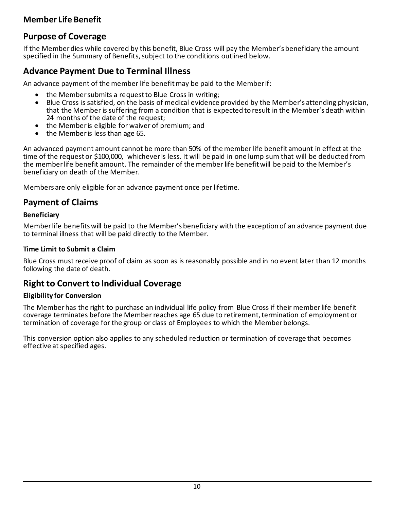### **Purpose of Coverage**

If the Member dies while covered by this benefit, Blue Cross will pay the Member's beneficiary the amount specified in the Summary of Benefits, subject to the conditions outlined below.

### **Advance Payment Due to Terminal Illness**

An advance payment of the member life benefit may be paid to the Member if:

- the Member submits a request to Blue Cross in writing;
- Blue Cross is satisfied, on the basis of medical evidence provided by the Member's attending physician, that the Member is suffering from a condition that is expected to result in the Member's death within 24 months of the date of the request;
- the Member is eligible for waiver of premium; and
- the Member is less than age 65.

An advanced payment amount cannot be more than 50% of the member life benefit amount in effect at the time of the request or \$100,000, whichever is less. It will be paid in one lump sum that will be deducted from the member life benefit amount. The remainder of the member life benefit will be paid to the Member's beneficiary on death of the Member.

Members are only eligible for an advance payment once per lifetime.

### **Payment of Claims**

#### **Beneficiary**

Member life benefits will be paid to the Member's beneficiary with the exception of an advance payment due to terminal illness that will be paid directly to the Member.

#### **Time Limit to Submit a Claim**

Blue Cross must receive proof of claim as soon as is reasonably possible and in no event later than 12 months following the date of death.

### **Right to Convert to Individual Coverage**

#### **Eligibility for Conversion**

The Member has the right to purchase an individual life policy from Blue Cross if their member life benefit coverage terminates before the Member reaches age 65 due to retirement, termination of employment or termination of coverage for the group or class of Employees to which the Member belongs.

This conversion option also applies to any scheduled reduction or termination of coverage that becomes effective at specified ages.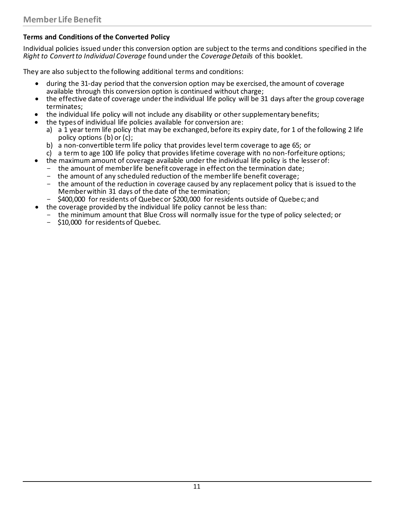#### **Terms and Conditions of the Converted Policy**

Individual policies issued under this conversion option are subject to the terms and conditions specified in the *Right to Convert to Individual Coverage* found under the *Coverage Details* of this booklet.

They are also subject to the following additional terms and conditions:

- during the 31-day period that the conversion option may be exercised, the amount of coverage available through this conversion option is continued without charge;
- the effective date of coverage under the individual life policy will be 31 days after the group coverage terminates;
- the individual life policy will not include any disability or other supplementary benefits;
- the types of individual life policies available for conversion are:
	- a) a 1 year term life policy that may be exchanged, before its expiry date, for 1 of the following 2 life policy options (b) or (c);
	- b) a non-convertible term life policy that provides level term coverage to age 65; or
	- c) a term to age 100 life policy that provides lifetime coverage with no non-forfeiture options;
- the maximum amount of coverage available under the individual life policy is the lesser of:
	- the amount of member life benefit coverage in effect on the termination date;
	- the amount of any scheduled reduction of the member life benefit coverage;
	- the amount of the reduction in coverage caused by any replacement policy that is issued to the Member within 31 days of the date of the termination;
	- \$400,000 for residents of Quebec or \$200,000 for residents outside of Quebec; and
- the coverage provided by the individual life policy cannot be less than:
	- the minimum amount that Blue Cross will normally issue for the type of policy selected; or
	- \$10,000 for residents of Quebec.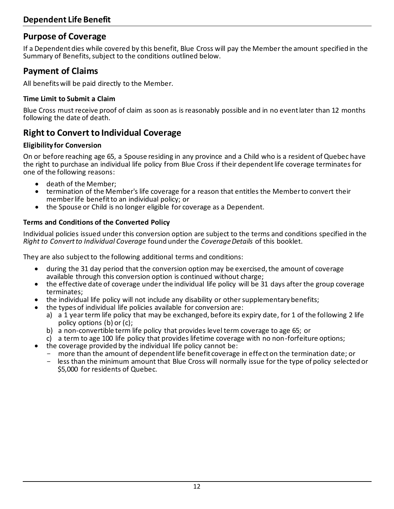### **Purpose of Coverage**

If a Dependent dies while covered by this benefit, Blue Cross will pay the Member the amount specified in the Summary of Benefits, subject to the conditions outlined below.

### **Payment of Claims**

All benefits will be paid directly to the Member.

#### **Time Limit to Submit a Claim**

Blue Cross must receive proof of claim as soon as is reasonably possible and in no event later than 12 months following the date of death.

### **Right to Convert to Individual Coverage**

#### **Eligibility for Conversion**

On or before reaching age 65, a Spouse residing in any province and a Child who is a resident of Quebec have the right to purchase an individual life policy from Blue Cross if their dependent life coverage terminates for one of the following reasons:

- death of the Member;
- termination of the Member's life coverage for a reason that entitles the Member to convert their member life benefit to an individual policy; or
- the Spouse or Child is no longer eligible for coverage as a Dependent.

#### **Terms and Conditions of the Converted Policy**

Individual policies issued under this conversion option are subject to the terms and conditions specified in the *Right to Convert to Individual Coverage* found under the *Coverage Details* of this booklet.

They are also subject to the following additional terms and conditions:

- during the 31 day period that the conversion option may be exercised, the amount of coverage available through this conversion option is continued without charge;
- the effective date of coverage under the individual life policy will be 31 days after the group coverage terminates;
- the individual life policy will not include any disability or other supplementary benefits;
- the types of individual life policies available for conversion are:
	- a) a 1 year term life policy that may be exchanged, before its expiry date, for 1 of the following 2 life policy options (b) or (c);
	- b) a non-convertible term life policy that provides level term coverage to age 65; or
	- c) a term to age 100 life policy that provides lifetime coverage with no non-forfeiture options;
- the coverage provided by the individual life policy cannot be:
	- more than the amount of dependent life benefit coverage in effect on the termination date; or
	- less than the minimum amount that Blue Cross will normally issue for the type of policy selected or \$5,000 for residents of Quebec.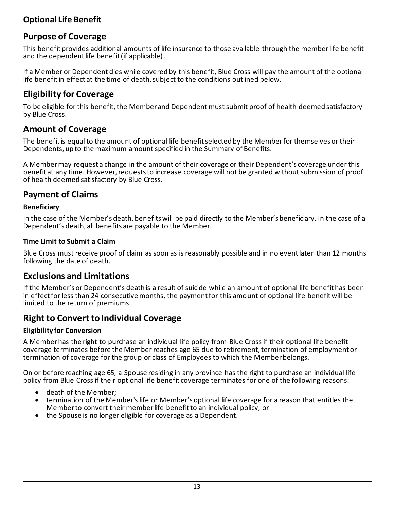### **Purpose of Coverage**

This benefit provides additional amounts of life insurance to those available through the member life benefit and the dependent life benefit (if applicable).

If a Member or Dependent dies while covered by this benefit, Blue Cross will pay the amount of the optional life benefit in effect at the time of death, subject to the conditions outlined below.

### **Eligibility for Coverage**

To be eligible for this benefit, the Member and Dependent must submit proof of health deemed satisfactory by Blue Cross.

### **Amount of Coverage**

The benefit is equal to the amount of optional life benefit selected by the Member for themselves or their Dependents, up to the maximum amount specified in the Summary of Benefits.

A Member may request a change in the amount of their coverage or their Dependent's coverage under this benefit at any time. However, requests to increase coverage will not be granted without submission of proof of health deemed satisfactory by Blue Cross.

### **Payment of Claims**

#### **Beneficiary**

In the case of the Member's death, benefits will be paid directly to the Member's beneficiary. In the case of a Dependent's death, all benefits are payable to the Member.

#### **Time Limit to Submit a Claim**

Blue Cross must receive proof of claim as soon as is reasonably possible and in no event later than 12 months following the date of death.

#### **Exclusions and Limitations**

If the Member's or Dependent's death is a result of suicide while an amount of optional life benefit has been in effect for less than 24 consecutive months, the payment for this amount of optional life benefit will be limited to the return of premiums.

### **Right to Convert to Individual Coverage**

#### **Eligibility for Conversion**

A Member has the right to purchase an individual life policy from Blue Cross if their optional life benefit coverage terminates before the Member reaches age 65 due to retirement, termination of employment or termination of coverage for the group or class of Employees to which the Member belongs.

On or before reaching age 65, a Spouse residing in any province has the right to purchase an individual life policy from Blue Cross if their optional life benefit coverage terminates for one of the following reasons:

- death of the Member;
- termination of the Member's life or Member's optional life coverage for a reason that entitles the Member to convert their member life benefit to an individual policy; or
- the Spouse is no longer eligible for coverage as a Dependent.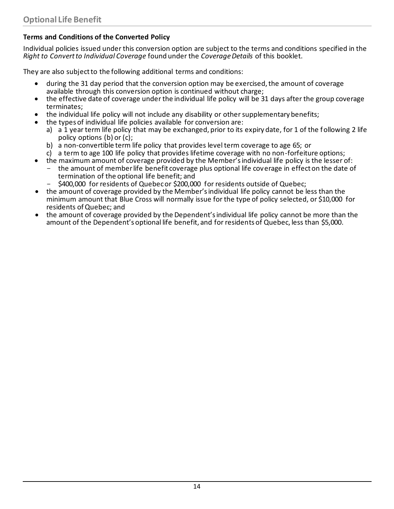#### **Terms and Conditions of the Converted Policy**

Individual policies issued under this conversion option are subject to the terms and conditions specified in the *Right to Convert to Individual Coverage* found under the *Coverage Details* of this booklet.

They are also subject to the following additional terms and conditions:

- during the 31 day period that the conversion option may be exercised, the amount of coverage available through this conversion option is continued without charge;
- the effective date of coverage under the individual life policy will be 31 days after the group coverage terminates;
- the individual life policy will not include any disability or other supplementary benefits;
- the types of individual life policies available for conversion are:
	- a) a 1 year term life policy that may be exchanged, prior to its expiry date, for 1 of the following 2 life policy options (b) or (c);
	- b) a non-convertible term life policy that provides level term coverage to age 65; or
	- c) a term to age 100 life policy that provides lifetime coverage with no non-forfeiture options;
- the maximum amount of coverage provided by the Member's individual life policy is the lesser of:
	- the amount of member life benefit coverage plus optional life coverage in effect on the date of termination of the optional life benefit; and
	- \$400,000 for residents of Quebec or \$200,000 for residents outside of Quebec;
- the amount of coverage provided by the Member's individual life policy cannot be less than the minimum amount that Blue Cross will normally issue for the type of policy selected, or \$10,000 for residents of Quebec; and
- the amount of coverage provided by the Dependent's individual life policy cannot be more than the amount of the Dependent's optional life benefit, and for residents of Quebec, less than \$5,000.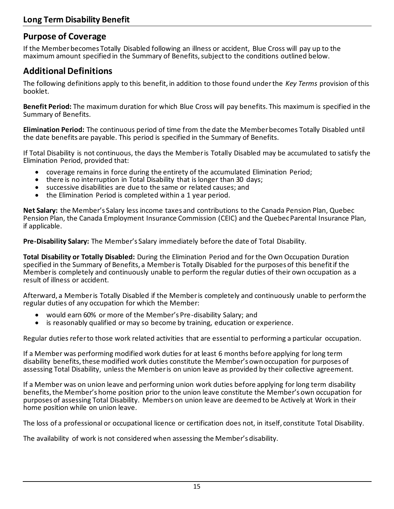### **Purpose of Coverage**

If the Member becomes Totally Disabled following an illness or accident, Blue Cross will pay up to the maximum amount specified in the Summary of Benefits, subject to the conditions outlined below.

### **Additional Definitions**

The following definitions apply to this benefit, in addition to those found under the *Key Terms* provision of this booklet.

**Benefit Period:** The maximum duration for which Blue Cross will pay benefits. This maximum is specified in the Summary of Benefits.

**Elimination Period:** The continuous period of time from the date the Member becomes Totally Disabled until the date benefits are payable. This period is specified in the Summary of Benefits.

If Total Disability is not continuous, the days the Member is Totally Disabled may be accumulated to satisfy the Elimination Period, provided that:

- coverage remains in force during the entirety of the accumulated Elimination Period;
- there is no interruption in Total Disability that is longer than 30 days;
- successive disabilities are due to the same or related causes; and
- the Elimination Period is completed within a 1 year period.

**Net Salary:** the Member's Salary less income taxes and contributions to the Canada Pension Plan, Quebec Pension Plan, the Canada Employment Insurance Commission (CEIC) and the Quebec Parental Insurance Plan, if applicable.

**Pre-Disability Salary:** The Member's Salary immediately before the date of Total Disability.

**Total Disability or Totally Disabled:** During the Elimination Period and for the Own Occupation Duration specified in the Summary of Benefits, a Member is Totally Disabled for the purposes of this benefit if the Member is completely and continuously unable to perform the regular duties of their own occupation as a result of illness or accident.

Afterward, a Member is Totally Disabled if the Member is completely and continuously unable to perform the regular duties of any occupation for which the Member:

- would earn 60% or more of the Member's Pre-disability Salary; and
- is reasonably qualified or may so become by training, education or experience.

Regular duties refer to those work related activities that are essential to performing a particular occupation.

If a Member was performing modified work duties for at least 6 months before applying for long term disability benefits, these modified work duties constitute the Member's own occupation for purposes of assessing Total Disability, unless the Member is on union leave as provided by their collective agreement.

If a Member was on union leave and performing union work duties before applying for long term disability benefits, the Member's home position prior to the union leave constitute the Member's own occupation for purposes of assessing Total Disability. Members on union leave are deemed to be Actively at Work in their home position while on union leave.

The loss of a professional or occupational licence or certification does not, in itself, constitute Total Disability.

The availability of work is not considered when assessing the Member's disability.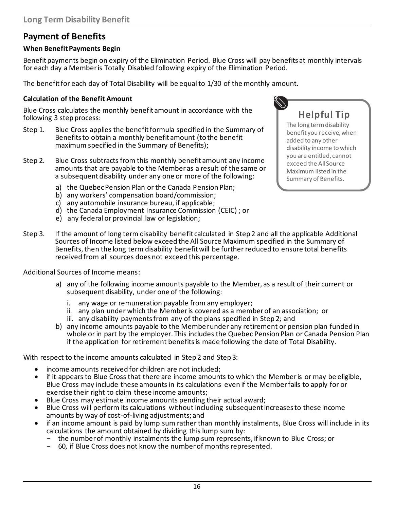### **Payment of Benefits**

#### **When Benefit Payments Begin**

Benefit payments begin on expiry of the Elimination Period. Blue Cross will pay benefits at monthly intervals for each day a Member is Totally Disabled following expiry of the Elimination Period.

The benefit for each day of Total Disability will be equal to 1/30 of the monthly amount.

#### **Calculation of the Benefit Amount**

Blue Cross calculates the monthly benefit amount in accordance with the following 3 step process:

- Step 1. Blue Cross applies the benefit formula specified in the Summary of Benefits to obtain a monthly benefit amount (to the benefit maximum specified in the Summary of Benefits);
- Step 2. Blue Cross subtracts from this monthly benefit amount any income amounts that are payable to the Member as a result of the same or a subsequent disability under any one or more of the following:
	- a) the Quebec Pension Plan or the Canada Pension Plan;
	- b) any workers' compensation board/commission;
	- c) any automobile insurance bureau, if applicable;
	- d) the Canada Employment Insurance Commission (CEIC) ; or
	- e) any federal or provincial law or legislation;

# **Helpful Tip**

The long term disability benefit you receive, when added to any other disability income to which you are entitled, cannot exceed the All Source Maximum listed in the Summary of Benefits.

Step 3. If the amount of long term disability benefit calculated in Step 2 and all the applicable Additional Sources of Income listed below exceed the All Source Maximum specified in the Summary of Benefits, then the long term disability benefit will be further reduced to ensure total benefits received from all sources does not exceed this percentage.

Additional Sources of Income means:

- a) any of the following income amounts payable to the Member, as a result of their current or subsequent disability, under one of the following:
	- i. any wage or remuneration payable from any employer;
	- ii. any plan under which the Member is covered as a member of an association; or
	- iii. any disability payments from any of the plans specified in Step 2; and
- b) any income amounts payable to the Member under any retirement or pension plan funded in whole or in part by the employer. This includes the Quebec Pension Plan or Canada Pension Plan if the application for retirement benefits is made following the date of Total Disability.

With respect to the income amounts calculated in Step 2 and Step 3:

- income amounts received for children are not included;
- if it appears to Blue Cross that there are income amounts to which the Member is or may be eligible, Blue Cross may include these amounts in its calculations even if the Member fails to apply for or exercise their right to claim these income amounts;
- Blue Cross may estimate income amounts pending their actual award;
- Blue Cross will perform its calculations without including subsequent increases to these income amounts by way of cost-of-living adjustments; and
- if an income amount is paid by lump sum rather than monthly instalments, Blue Cross will include in its calculations the amount obtained by dividing this lump sum by:
	- the number of monthly instalments the lump sum represents, if known to Blue Cross; or
	- 60, if Blue Cross does not know the number of months represented.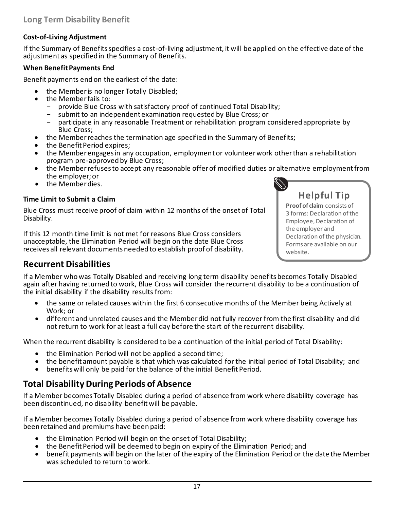#### **Cost-of-Living Adjustment**

If the Summary of Benefits specifies a cost-of-living adjustment, it will be applied on the effective date of the adjustment as specified in the Summary of Benefits.

#### **When Benefit Payments End**

Benefit payments end on the earliest of the date:

- the Member is no longer Totally Disabled;
- the Member fails to:
	- provide Blue Cross with satisfactory proof of continued Total Disability;
	- submit to an independent examination requested by Blue Cross; or
	- participate in any reasonable Treatment or rehabilitation program considered appropriate by Blue Cross;
- the Member reaches the termination age specified in the Summary of Benefits;
- the Benefit Period expires;
- the Member engages in any occupation, employment or volunteer work other than a rehabilitation program pre-approved by Blue Cross;
- the Member refuses to accept any reasonable offer of modified duties or alternative employment from the employer; or
- the Member dies.

#### **Time Limit to Submit a Claim**

Blue Cross must receive proof of claim within 12 months of the onset of Total Disability.

If this 12 month time limit is not met for reasons Blue Cross considers unacceptable, the Elimination Period will begin on the date Blue Cross receives all relevant documents needed to establish proof of disability.

# **Helpful Tip**

**Proof of claim** consists of 3 forms: Declaration of the Employee, Declaration of the employer and Declaration of the physician. Forms are available on our website.

#### **Recurrent Disabilities**

If a Member who was Totally Disabled and receiving long term disability benefits becomes Totally Disabled again after having returned to work, Blue Cross will consider the recurrent disability to be a continuation of the initial disability if the disability results from:

- the same or related causes within the first 6 consecutive months of the Member being Actively at Work; or
- different and unrelated causes and the Member did not fully recover from the first disability and did not return to work for at least a full day before the start of the recurrent disability.

When the recurrent disability is considered to be a continuation of the initial period of Total Disability:

- the Elimination Period will not be applied a second time;
- the benefit amount payable is that which was calculated for the initial period of Total Disability; and
- benefits will only be paid for the balance of the initial Benefit Period.

### **Total Disability During Periods of Absence**

If a Member becomes Totally Disabled during a period of absence from work where disability coverage has been discontinued, no disability benefit will be payable.

If a Member becomes Totally Disabled during a period of absence from work where disability coverage has been retained and premiums have been paid:

- the Elimination Period will begin on the onset of Total Disability;
- the Benefit Period will be deemed to begin on expiry of the Elimination Period; and
- benefit payments will begin on the later of the expiry of the Elimination Period or the date the Member was scheduled to return to work.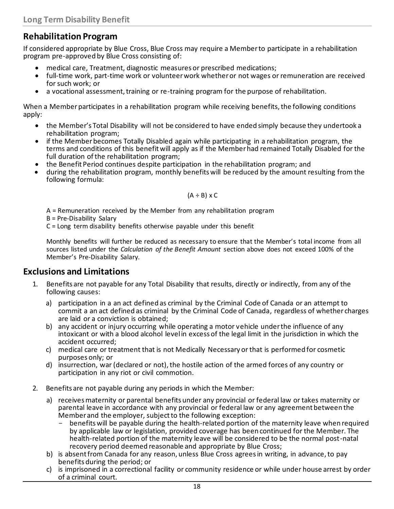### **Rehabilitation Program**

If considered appropriate by Blue Cross, Blue Cross may require a Member to participate in a rehabilitation program pre-approved by Blue Cross consisting of:

- medical care, Treatment, diagnostic measures or prescribed medications;
- full-time work, part-time work or volunteer work whether or not wages or remuneration are received for such work; or
- a vocational assessment, training or re-training program for the purpose of rehabilitation.

When a Member participates in a rehabilitation program while receiving benefits, the following conditions apply:

- the Member's Total Disability will not be considered to have ended simply because they undertook a rehabilitation program;
- if the Member becomes Totally Disabled again while participating in a rehabilitation program, the terms and conditions of this benefit will apply as if the Member had remained Totally Disabled for the full duration of the rehabilitation program;
- the Benefit Period continues despite participation in the rehabilitation program; and
- during the rehabilitation program, monthly benefits will be reduced by the amount resulting from the following formula:

$$
(A \div B) \times C
$$

A = Remuneration received by the Member from any rehabilitation program

B = Pre-Disability Salary

C = Long term disability benefits otherwise payable under this benefit

Monthly benefits will further be reduced as necessary to ensure that the Member's total income from all sources listed under the *Calculation of the Benefit Amount* section above does not exceed 100% of the Member's Pre-Disability Salary.

#### **Exclusions and Limitations**

- 1. Benefits are not payable for any Total Disability that results, directly or indirectly, from any of the following causes:
	- a) participation in a an act defined as criminal by the Criminal Code of Canada or an attempt to commit a an act defined as criminal by the Criminal Code of Canada, regardless of whether charges are laid or a conviction is obtained;
	- b) any accident or injury occurring while operating a motor vehicle under the influence of any intoxicant or with a blood alcohol level in excess of the legal limit in the jurisdiction in which the accident occurred;
	- c) medical care or treatment that is not Medically Necessary or that is performed for cosmetic purposes only; or
	- d) insurrection, war (declared or not), the hostile action of the armed forces of any country or participation in any riot or civil commotion.
- 2. Benefits are not payable during any periods in which the Member:
	- a) receives maternity or parental benefits under any provincial or federal law or takes maternity or parental leave in accordance with any provincial or federal law or any agreement between the Member and the employer, subject to the following exception:
		- benefits will be payable during the health-related portion of the maternity leave when required by applicable law or legislation, provided coverage has been continued for the Member. The health-related portion of the maternity leave will be considered to be the normal post-natal recovery period deemed reasonable and appropriate by Blue Cross;
	- b) is absent from Canada for any reason, unless Blue Cross agrees in writing, in advance, to pay benefits during the period; or
	- c) is imprisoned in a correctional facility or community residence or while under house arrest by order of a criminal court.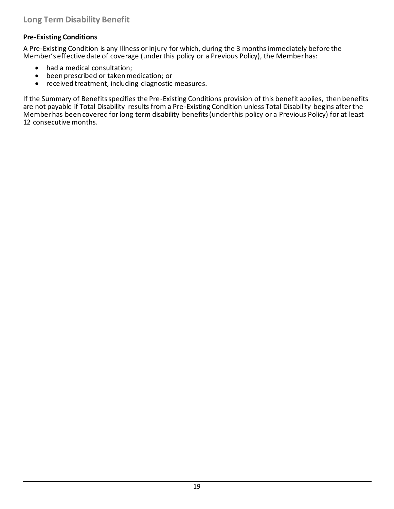### **Pre-Existing Conditions**

A Pre-Existing Condition is any Illness or injury for which, during the 3 months immediately before the Member's effective date of coverage (under this policy or a Previous Policy), the Member has:

- had a medical consultation;
- been prescribed or taken medication; or
- received treatment, including diagnostic measures.

If the Summary of Benefits specifies the Pre-Existing Conditions provision of this benefit applies, then benefits are not payable if Total Disability results from a Pre-Existing Condition unless Total Disability begins after the Member has been covered for long term disability benefits (under this policy or a Previous Policy) for at least 12 consecutive months.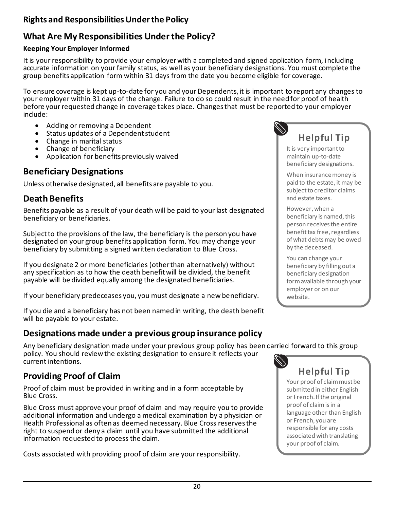### **What Are My Responsibilities Under the Policy?**

#### **Keeping Your Employer Informed**

It is your responsibility to provide your employer with a completed and signed application form, including accurate information on your family status, as well as your beneficiary designations. You must complete the group benefits application form within 31 days from the date you become eligible for coverage.

To ensure coverage is kept up-to-date for you and your Dependents, it is important to report any changes to your employer within 31 days of the change. Failure to do so could result in the need for proof of health before your requested change in coverage takes place. Changes that must be reported to your employer include:

- Adding or removing a Dependent
- Status updates of a Dependent student
- Change in marital status
- Change of beneficiary
- Application for benefits previously waived

### **Beneficiary Designations**

Unless otherwise designated, all benefits are payable to you.

### **Death Benefits**

Benefits payable as a result of your death will be paid to your last designated beneficiary or beneficiaries.

Subject to the provisions of the law, the beneficiary is the person you have designated on your group benefits application form. You may change your beneficiary by submitting a signed written declaration to Blue Cross.

If you designate 2 or more beneficiaries (other than alternatively) without any specification as to how the death benefit will be divided, the benefit payable will be divided equally among the designated beneficiaries.

If your beneficiary predeceases you, you must designate a new beneficiary.

If you die and a beneficiary has not been named in writing, the death benefit will be payable to your estate.

### **Designations made under a previous group insurance policy**

Any beneficiary designation made under your previous group policy has been carried forward to this group policy. You should review the existing designation to ensure it reflects your current intentions.

### **Providing Proof of Claim**

Proof of claim must be provided in writing and in a form acceptable by Blue Cross.

Blue Cross must approve your proof of claim and may require you to provide additional information and undergo a medical examination by a physician or Health Professional as often as deemed necessary. Blue Cross reserves the right to suspend or deny a claim until you have submitted the additional information requested to process the claim.

Costs associated with providing proof of claim are your responsibility.



It is very important to maintain up-to-date beneficiary designations.

When insurance money is paid to the estate, it may be subject to creditor claims and estate taxes.

However, when a beneficiary is named, this person receives the entire benefit tax free, regardless of what debts may be owed by the deceased.

You can change your beneficiary by filling out a beneficiary designation form available through your employer or on our website.



Your proof of claim must be submitted in either English or French. If the original proof of claim is in a language other than English or French, you are responsible for any costs associated with translating your proof of claim.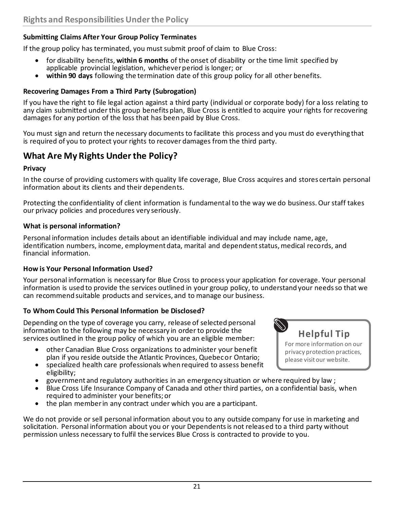#### **Submitting Claims After Your Group Policy Terminates**

If the group policy has terminated, you must submit proof of claim to Blue Cross:

- for disability benefits, **within 6 months** of the onset of disability or the time limit specified by applicable provincial legislation, whichever period is longer; or
- **within 90 days** following the termination date of this group policy for all other benefits.

#### **Recovering Damages From a Third Party (Subrogation)**

If you have the right to file legal action against a third party (individual or corporate body) for a loss relating to any claim submitted under this group benefits plan, Blue Cross is entitled to acquire your rights for recovering damages for any portion of the loss that has been paid by Blue Cross.

You must sign and return the necessary documents to facilitate this process and you must do everything that is required of you to protect your rights to recover damages from the third party.

### **What Are My Rights Under the Policy?**

#### **Privacy**

In the course of providing customers with quality life coverage, Blue Cross acquires and stores certain personal information about its clients and their dependents.

Protecting the confidentiality of client information is fundamental to the way we do business. Our staff takes our privacy policies and procedures very seriously.

#### **What is personal information?**

Personal information includes details about an identifiable individual and may include name, age, identification numbers, income, employment data, marital and dependent status, medical records, and financial information.

#### **How is Your Personal Information Used?**

Your personal information is necessary for Blue Cross to process your application for coverage. Your personal information is used to provide the services outlined in your group policy, to understand your needs so that we can recommend suitable products and services, and to manage our business.

#### **To Whom Could This Personal Information be Disclosed?**

Depending on the type of coverage you carry, release of selected personal information to the following may be necessary in order to provide the services outlined in the group policy of which you are an eligible member:

- other Canadian Blue Cross organizations to administer your benefit plan if you reside outside the Atlantic Provinces, Quebec or Ontario;
- specialized health care professionals when required to assess benefit eligibility;
- government and regulatory authorities in an emergency situation or where required by law ;
- Blue Cross Life Insurance Company of Canada and other third parties, on a confidential basis, when required to administer your benefits; or
- the plan member in any contract under which you are a participant.

We do not provide or sell personal information about you to any outside company for use in marketing and solicitation. Personal information about you or your Dependents is not released to a third party without permission unless necessary to fulfil the services Blue Cross is contracted to provide to you.



For more information on our privacy protection practices, please visit our website.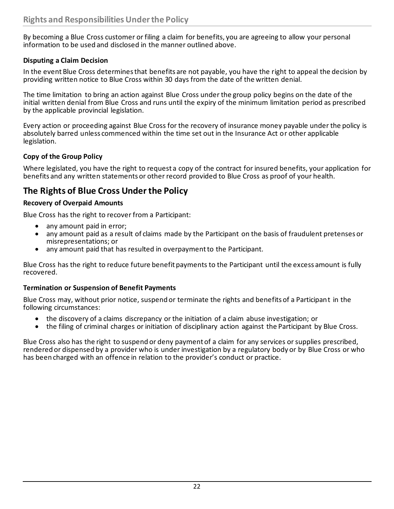By becoming a Blue Cross customer or filing a claim for benefits, you are agreeing to allow your personal information to be used and disclosed in the manner outlined above.

#### **Disputing a Claim Decision**

In the event Blue Cross determines that benefits are not payable, you have the right to appeal the decision by providing written notice to Blue Cross within 30 days from the date of the written denial.

The time limitation to bring an action against Blue Cross under the group policy begins on the date of the initial written denial from Blue Cross and runs until the expiry of the minimum limitation period as prescribed by the applicable provincial legislation.

Every action or proceeding against Blue Cross for the recovery of insurance money payable under the policy is absolutely barred unless commenced within the time set out in the Insurance Act or other applicable legislation.

#### **Copy of the Group Policy**

Where legislated, you have the right to request a copy of the contract for insured benefits, your application for benefits and any written statements or other record provided to Blue Cross as proof of your health.

### **The Rights of Blue Cross Under the Policy**

#### **Recovery of Overpaid Amounts**

Blue Cross has the right to recover from a Participant:

- any amount paid in error;
- any amount paid as a result of claims made by the Participant on the basis of fraudulent pretenses or misrepresentations; or
- any amount paid that has resulted in overpayment to the Participant.

Blue Cross has the right to reduce future benefit payments to the Participant until the excess amount is fully recovered.

#### **Termination or Suspension of Benefit Payments**

Blue Cross may, without prior notice, suspend or terminate the rights and benefits of a Participant in the following circumstances:

- the discovery of a claims discrepancy or the initiation of a claim abuse investigation; or
- the filing of criminal charges or initiation of disciplinary action against the Participant by Blue Cross.

Blue Cross also has the right to suspend or deny payment of a claim for any services or supplies prescribed, rendered or dispensed by a provider who is under investigation by a regulatory body or by Blue Cross or who has been charged with an offence in relation to the provider's conduct or practice.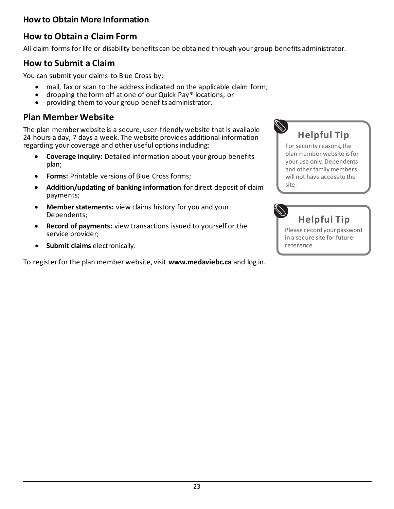### **How to Obtain a Claim Form**

All claim forms for life or disability benefits can be obtained through your group benefits administrator.

### **How to Submit a Claim**

You can submit your claims to Blue Cross by:

- mail, fax or scan to the address indicated on the applicable claim form;
- dropping the form off at one of our Quick Pay® locations; or
- providing them to your group benefits administrator.

### **Plan Member Website**

The plan member website is a secure, user-friendly website that is available 24 hours a day, 7 days a week. The website provides additional information regarding your coverage and other useful options including:

- **Coverage inquiry:** Detailed information about your group benefits plan;
- **Forms:** Printable versions of Blue Cross forms;
- **Addition/updating of banking information** for direct deposit of claim payments;
- **Member statements:** view claims history for you and your Dependents;
- **Record of payments:** view transactions issued to yourself or the service provider;
- **Submit claims** electronically.

To register for the plan member website, visit **www.medaviebc.ca** and log in.



For security reasons, the plan member website is for your use only. Dependents and other family members will not have access to the site.